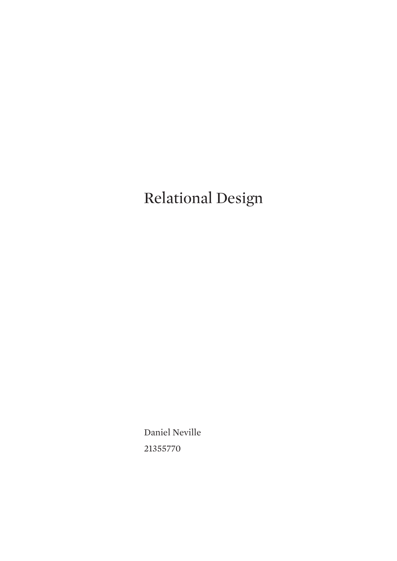## Relational Design

Daniel Neville 21355770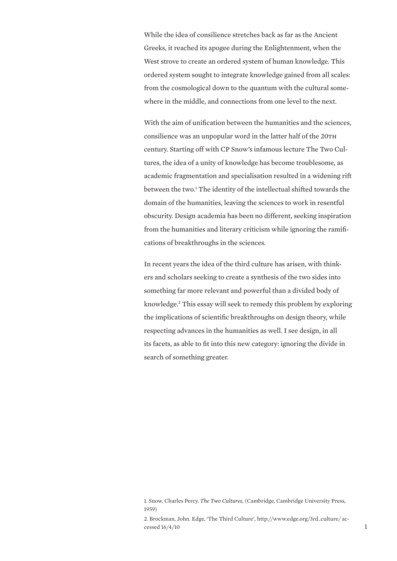While the idea of consilience stretches back as far as the Ancient Greeks, it reached its apogee during the Enlightenment, when the West strove to create an ordered system of human knowledge. This ordered system sought to integrate knowledge gained from all scales: from the cosmological down to the quantum with the cultural somewhere in the middle, and connections from one level to the next.

With the aim of unification between the humanities and the sciences, consilience was an unpopular word in the latter half of the 20TH century. Starting off with CP Snow's infamous lecture The Two Cultures, the idea of a unity of knowledge has become troublesome, as academic fragmentation and specialisation resulted in a widening rift between the two.<sup>1</sup> The identity of the intellectual shifted towards the domain of the humanities, leaving the sciences to work in resentful obscurity. Design academia has been no different, seeking inspiration from the humanities and literary criticism while ignoring the ramifications of breakthroughs in the sciences.

In recent years the idea of the third culture has arisen, with thinkers and scholars seeking to create a synthesis of the two sides into something far more relevant and powerful than a divided body of knowledge.<sup>2</sup> This essay will seek to remedy this problem by exploring the implications of scientific breakthroughs on design theory, while respecting advances in the humanities as well. I see design, in all its facets, as able to fit into this new category: ignoring the divide in search of something greater.

<sup>1.</sup> Snow, Charles Percy. *The Two Cultures*, (Cambridge, Cambridge University Press, 1959)

<sup>2.</sup> Brockman, John. Edge, 'The Third Culture', http://www.edge.org/3rd\_culture/ ac- $\frac{1}{2}$  cessed  $\frac{16}{4}/\frac{10}{2}$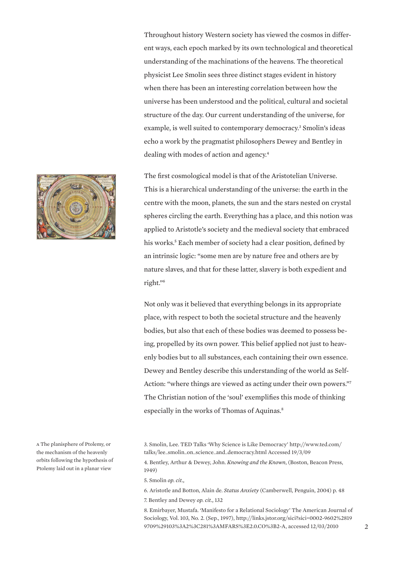Throughout history Western society has viewed the cosmos in different ways, each epoch marked by its own technological and theoretical understanding of the machinations of the heavens. The theoretical physicist Lee Smolin sees three distinct stages evident in history when there has been an interesting correlation between how the universe has been understood and the political, cultural and societal structure of the day. Our current understanding of the universe, for example, is well suited to contemporary democracy.<sup>3</sup> Smolin's ideas echo a work by the pragmatist philosophers Dewey and Bentley in dealing with modes of action and agency.<sup>4</sup>

The first cosmological model is that of the Aristotelian Universe. This is a hierarchical understanding of the universe: the earth in the centre with the moon, planets, the sun and the stars nested on crystal spheres circling the earth. Everything has a place, and this notion was applied to Aristotle's society and the medieval society that embraced his works.<sup>5</sup> Each member of society had a clear position, defined by an intrinsic logic: "some men are by nature free and others are by nature slaves, and that for these latter, slavery is both expedient and right."<sup>6</sup>

Not only was it believed that everything belongs in its appropriate place, with respect to both the societal structure and the heavenly bodies, but also that each of these bodies was deemed to possess being, propelled by its own power. This belief applied not just to heavenly bodies but to all substances, each containing their own essence. Dewey and Bentley describe this understanding of the world as Self-Action: "where things are viewed as acting under their own powers."<sup>7</sup> The Christian notion of the 'soul' exemplifies this mode of thinking especially in the works of Thomas of Aquinas.<sup>8</sup>

4. Bentley, Arthur & Dewey, John. *Knowing and the Known*, (Boston, Beacon Press, 1949)

5. Smolin *op. cit.,* 

6. Aristotle and Botton, Alain de. *Status Anxiety* (Camberwell, Penguin, 2004) p. 48 7. Bentley and Dewey *op. cit.,* 132

8. Emirbayer, Mustafa. 'Manifesto for a Relational Sociology' The American Journal of Sociology, Vol. 103, No. 2. (Sep., 1997), http://links.jstor.org/sici?sici=0002-9602%2819 9709%29103%3A2%3C281%3AMFARS%3E2.0.CO%3B2-A, accessed 12/03/2010



a The planisphere of Ptolemy, or the mechanism of the heavenly orbits following the hypothesis of Ptolemy laid out in a planar view

<sup>3.</sup> Smolin, Lee. TED Talks 'Why Science is Like Democracy' http://www.ted.com/ talks/lee\_smolin\_on\_science\_and\_democracy.html Accessed 19/3/09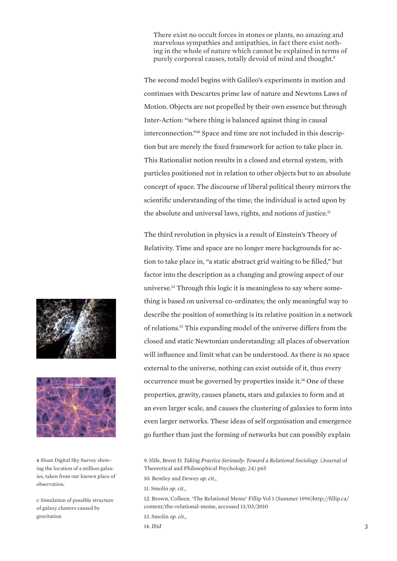There exist no occult forces in stones or plants, no amazing and marvelous sympathies and antipathies, in fact there exist nothing in the whole of nature which cannot be explained in terms of purely corporeal causes, totally devoid of mind and thought.<sup>9</sup>

The second model begins with Galileo's experiments in motion and continues with Descartes prime law of nature and Newtons Laws of Motion. Objects are not propelled by their own essence but through Inter-Action: "where thing is balanced against thing in causal interconnection."10 Space and time are not included in this description but are merely the fixed framework for action to take place in. This Rationalist notion results in a closed and eternal system, with particles positioned not in relation to other objects but to an absolute concept of space. The discourse of liberal political theory mirrors the scientific understanding of the time; the individual is acted upon by the absolute and universal laws, rights, and notions of justice.<sup>11</sup>

The third revolution in physics is a result of Einstein's Theory of Relativity. Time and space are no longer mere backgrounds for action to take place in, "a static abstract grid waiting to be filled," but factor into the description as a changing and growing aspect of our universe.12 Through this logic it is meaningless to say where something is based on universal co-ordinates; the only meaningful way to describe the position of something is its relative position in a network of relations.<sup>13</sup> This expanding model of the universe differs from the closed and static Newtonian understanding: all places of observation will influence and limit what can be understood. As there is no space external to the universe, nothing can exist outside of it, thus every occurrence must be governed by properties inside it.<sup>14</sup> One of these properties, gravity, causes planets, stars and galaxies to form and at an even larger scale, and causes the clustering of galaxies to form into even larger networks. These ideas of self organisation and emergence go further than just the forming of networks but can possibly explain

10. Bentley and Dewey *op. cit.,*

11. Smolin *op. cit.,* 

12. Brown, Colleen. 'The Relational Meme' Fillip Vol 1 (Summer 1996)http://fillip.ca/ content/the-relational-meme, accessed 13/03/2010

- 13. Smolin *op. cit.,*
- 14. *Ibid*





b Sloan Digital Sky Survey showing the location of a million galaxies, taken from our known place of observation.

c Simulation of possible structure of galaxy clusters caused by gravitation

<sup>9.</sup> Slife, Brent D. *Taking Practice Seriously: Toward a Relational Sociology*. (Journal of Theoretical and Philosophical Psychology, 24) p65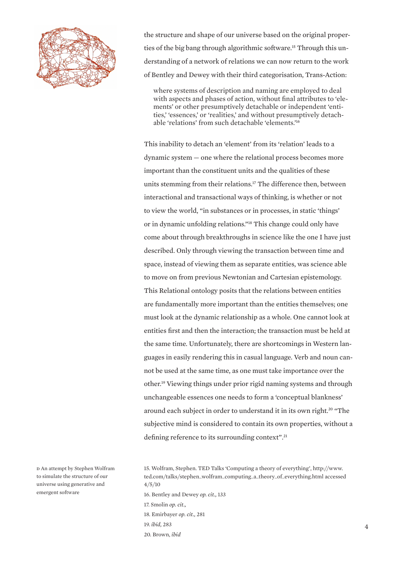

the structure and shape of our universe based on the original properties of the big bang through algorithmic software.15 Through this understanding of a network of relations we can now return to the work of Bentley and Dewey with their third categorisation, Trans-Action:

where systems of description and naming are employed to deal with aspects and phases of action, without final attributes to 'elements' or other presumptively detachable or independent 'entities,' 'essences,' or 'realities,' and without presumptively detachable 'relations' from such detachable 'elements.'<sup>16</sup>

This inability to detach an 'element' from its 'relation' leads to a dynamic system — one where the relational process becomes more important than the constituent units and the qualities of these units stemming from their relations.<sup>17</sup> The difference then, between interactional and transactional ways of thinking, is whether or not to view the world, "in substances or in processes, in static 'things' or in dynamic unfolding relations."<sup>18</sup> This change could only have come about through breakthroughs in science like the one I have just described. Only through viewing the transaction between time and space, instead of viewing them as separate entities, was science able to move on from previous Newtonian and Cartesian epistemology. This Relational ontology posits that the relations between entities are fundamentally more important than the entities themselves; one must look at the dynamic relationship as a whole. One cannot look at entities first and then the interaction; the transaction must be held at the same time. Unfortunately, there are shortcomings in Western languages in easily rendering this in casual language. Verb and noun cannot be used at the same time, as one must take importance over the other.<sup>19</sup> Viewing things under prior rigid naming systems and through unchangeable essences one needs to form a 'conceptual blankness' around each subject in order to understand it in its own right.<sup>20</sup> "The subjective mind is considered to contain its own properties, without a defining reference to its surrounding context".<sup>21</sup>

d An attempt by Stephen Wolfram to simulate the structure of our universe using generative and emergent software

15. Wolfram, Stephen. TED Talks 'Computing a theory of everything', http://www. ted.com/talks/stephen\_wolfram\_computing\_a\_theory\_of\_everything.html accessed 4/5/10

- 16. Bentley and Dewey *op. cit.,* 133
- 17. Smolin *op. cit.,*
- 18. Emirbayer *op. cit.,* 281
- 19. *ibid,* 283
- 20. Brown, *ibid*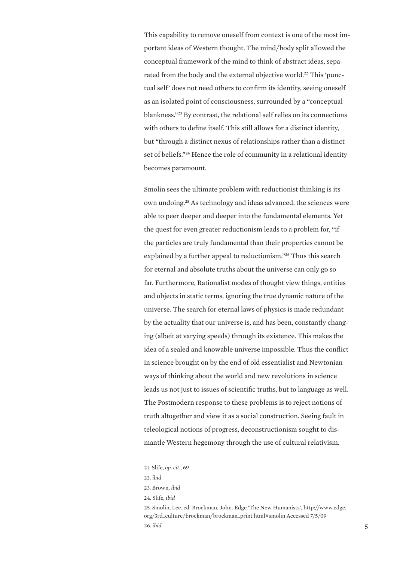This capability to remove oneself from context is one of the most important ideas of Western thought. The mind/body split allowed the conceptual framework of the mind to think of abstract ideas, separated from the body and the external objective world.<sup>22</sup> This 'punctual self' does not need others to confirm its identity, seeing oneself as an isolated point of consciousness, surrounded by a "conceptual blankness."<sup>23</sup> By contrast, the relational self relies on its connections with others to define itself. This still allows for a distinct identity, but "through a distinct nexus of relationships rather than a distinct set of beliefs."<sup>24</sup> Hence the role of community in a relational identity becomes paramount.

Smolin sees the ultimate problem with reductionist thinking is its own undoing.<sup>25</sup> As technology and ideas advanced, the sciences were able to peer deeper and deeper into the fundamental elements. Yet the quest for even greater reductionism leads to a problem for, "if the particles are truly fundamental than their properties cannot be explained by a further appeal to reductionism."<sup>26</sup> Thus this search for eternal and absolute truths about the universe can only go so far. Furthermore, Rationalist modes of thought view things, entities and objects in static terms, ignoring the true dynamic nature of the universe. The search for eternal laws of physics is made redundant by the actuality that our universe is, and has been, constantly changing (albeit at varying speeds) through its existence. This makes the idea of a sealed and knowable universe impossible. Thus the conflict in science brought on by the end of old essentialist and Newtonian ways of thinking about the world and new revolutions in science leads us not just to issues of scientific truths, but to language as well. The Postmodern response to these problems is to reject notions of truth altogether and view it as a social construction. Seeing fault in teleological notions of progress, deconstructionism sought to dismantle Western hegemony through the use of cultural relativism.

25. Smolin, Lee. ed. Brockman, John. Edge 'The New Humanists', http://www.edge. org/3rd\_culture/brockman/brockman\_print.html#smolin Accessed 7/5/09 26. *ibid* 5

<sup>21.</sup> Slife, *op. cit.,* 69

<sup>22.</sup> *ibid*

<sup>23.</sup> Brown, *ibid*

<sup>24.</sup> Slife, *ibid*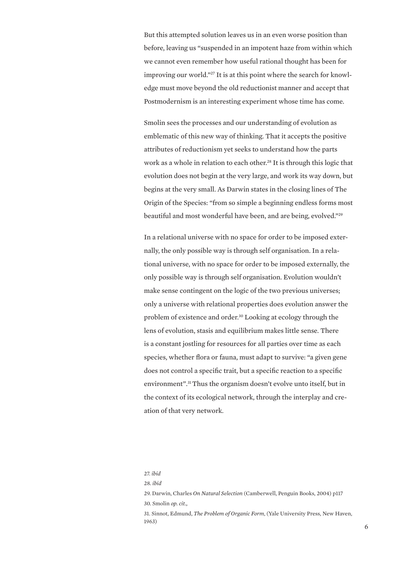But this attempted solution leaves us in an even worse position than before, leaving us "suspended in an impotent haze from within which we cannot even remember how useful rational thought has been for improving our world."27 It is at this point where the search for knowledge must move beyond the old reductionist manner and accept that Postmodernism is an interesting experiment whose time has come.

Smolin sees the processes and our understanding of evolution as emblematic of this new way of thinking. That it accepts the positive attributes of reductionism yet seeks to understand how the parts work as a whole in relation to each other.<sup>28</sup> It is through this logic that evolution does not begin at the very large, and work its way down, but begins at the very small. As Darwin states in the closing lines of The Origin of the Species: "from so simple a beginning endless forms most beautiful and most wonderful have been, and are being, evolved."<sup>29</sup>

In a relational universe with no space for order to be imposed externally, the only possible way is through self organisation. In a relational universe, with no space for order to be imposed externally, the only possible way is through self organisation. Evolution wouldn't make sense contingent on the logic of the two previous universes; only a universe with relational properties does evolution answer the problem of existence and order.<sup>30</sup> Looking at ecology through the lens of evolution, stasis and equilibrium makes little sense. There is a constant jostling for resources for all parties over time as each species, whether flora or fauna, must adapt to survive: "a given gene does not control a specific trait, but a specific reaction to a specific environment".<sup>31</sup>Thus the organism doesn't evolve unto itself, but in the context of its ecological network, through the interplay and creation of that very network.

<sup>27.</sup> *ibid*

<sup>28.</sup> *ibid*

<sup>29.</sup> Darwin, Charles *On Natural Selection* (Camberwell, Penguin Books, 2004) p117 30. Smolin *op. cit.,*

<sup>31.</sup> Sinnot, Edmund, *The Problem of Organic Form*, (Yale University Press, New Haven, 1963)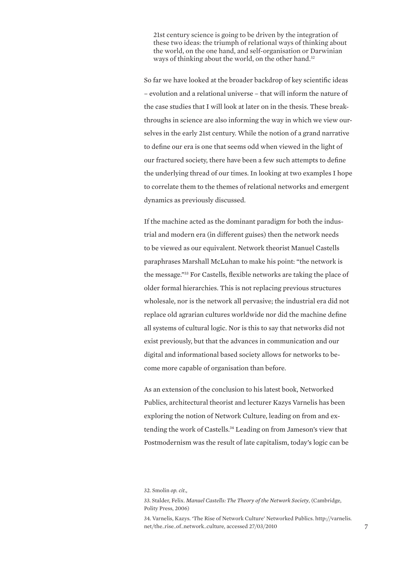21st century science is going to be driven by the integration of these two ideas: the triumph of relational ways of thinking about the world, on the one hand, and self-organisation or Darwinian ways of thinking about the world, on the other hand.<sup>32</sup>

So far we have looked at the broader backdrop of key scientific ideas – evolution and a relational universe – that will inform the nature of the case studies that I will look at later on in the thesis. These breakthroughs in science are also informing the way in which we view ourselves in the early 21st century. While the notion of a grand narrative to define our era is one that seems odd when viewed in the light of our fractured society, there have been a few such attempts to define the underlying thread of our times. In looking at two examples I hope to correlate them to the themes of relational networks and emergent dynamics as previously discussed.

If the machine acted as the dominant paradigm for both the industrial and modern era (in different guises) then the network needs to be viewed as our equivalent. Network theorist Manuel Castells paraphrases Marshall McLuhan to make his point: "the network is the message."<sup>33</sup> For Castells, flexible networks are taking the place of older formal hierarchies. This is not replacing previous structures wholesale, nor is the network all pervasive; the industrial era did not replace old agrarian cultures worldwide nor did the machine define all systems of cultural logic. Nor is this to say that networks did not exist previously, but that the advances in communication and our digital and informational based society allows for networks to become more capable of organisation than before.

As an extension of the conclusion to his latest book, Networked Publics, architectural theorist and lecturer Kazys Varnelis has been exploring the notion of Network Culture, leading on from and extending the work of Castells.<sup>34</sup> Leading on from Jameson's view that Postmodernism was the result of late capitalism, today's logic can be

<sup>32.</sup> Smolin *op. cit.,*

<sup>33.</sup> Stalder, Felix. *Manuel Castells: The Theory of the Network Society*, (Cambridge, Polity Press, 2006)

<sup>34.</sup> Varnelis, Kazys. 'The Rise of Network Culture' Networked Publics. http://varnelis. net/the\_rise\_of\_network\_culture, accessed 27/03/2010 7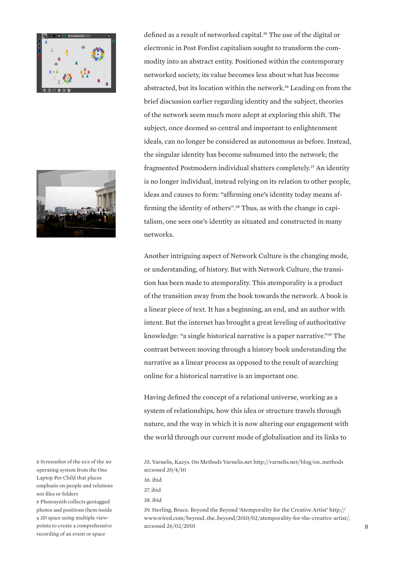



e Screenshot of the gui of the xo operating system from the One Laptop Per Child that places emphasis on people and relations not files or folders

f Photosynth collects geotagged photos and positions them inside a 3D space using multiple viewpoints to create a comprehensive recording of an event or space

defined as a result of networked capital.<sup>35</sup> The use of the digital or electronic in Post Fordist capitalism sought to transform the commodity into an abstract entity. Positioned within the contemporary networked society, its value becomes less about what has become abstracted, but its location within the network.<sup>36</sup> Leading on from the brief discussion earlier regarding identity and the subject, theories of the network seem much more adept at exploring this shift. The subject, once deemed so central and important to enlightenment ideals, can no longer be considered as autonomous as before. Instead, the singular identity has become subsumed into the network; the fragmented Postmodern individual shatters completely.<sup>37</sup> An identity is no longer individual, instead relying on its relation to other people, ideas and causes to form: "affirming one's identity today means affirming the identity of others".38 Thus, as with the change in capitalism, one sees one's identity as situated and constructed in many networks.

Another intriguing aspect of Network Culture is the changing mode, or understanding, of history. But with Network Culture, the transition has been made to atemporality. This atemporality is a product of the transition away from the book towards the network. A book is a linear piece of text. It has a beginning, an end, and an author with intent. But the internet has brought a great leveling of authoritative knowledge: "a single historical narrative is a paper narrative."<sup>39</sup> The contrast between moving through a history book understanding the narrative as a linear process as opposed to the result of searching online for a historical narrative is an important one.

Having defined the concept of a relational universe, working as a system of relationships, how this idea or structure travels through nature, and the way in which it is now altering our engagement with the world through our current mode of globalisation and its links to

39. Sterling, Bruce. Beyond the Beyond 'Atemporality for the Creative Artist' http:// www.wired.com/beyond\_the\_beyond/2010/02/atemporality-for-the-creative-artist/, accessed 26/02/2010

<sup>35.</sup> Varnelis, Kazys. On Methods Varnelis.net http://varnelis.net/blog/on\_methods accessed 20/4/10

<sup>36.</sup> ibid

<sup>37.</sup> ibid

<sup>38.</sup> ibid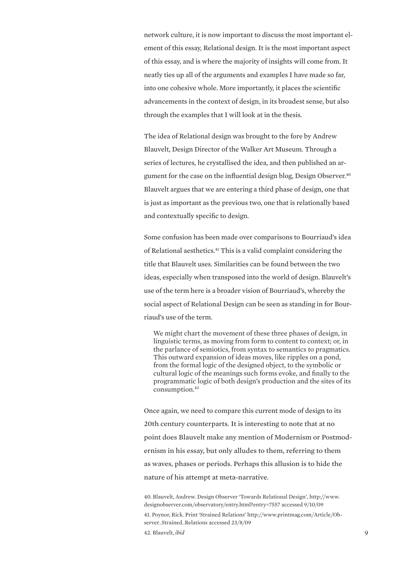network culture, it is now important to discuss the most important element of this essay, Relational design. It is the most important aspect of this essay, and is where the majority of insights will come from. It neatly ties up all of the arguments and examples I have made so far, into one cohesive whole. More importantly, it places the scientific advancements in the context of design, in its broadest sense, but also through the examples that I will look at in the thesis.

The idea of Relational design was brought to the fore by Andrew Blauvelt, Design Director of the Walker Art Museum. Through a series of lectures, he crystallised the idea, and then published an argument for the case on the influential design blog, Design Observer.<sup>40</sup> Blauvelt argues that we are entering a third phase of design, one that is just as important as the previous two, one that is relationally based and contextually specific to design.

Some confusion has been made over comparisons to Bourriaud's idea of Relational aesthetics.<sup>41</sup> This is a valid complaint considering the title that Blauvelt uses. Similarities can be found between the two ideas, especially when transposed into the world of design. Blauvelt's use of the term here is a broader vision of Bourriaud's, whereby the social aspect of Relational Design can be seen as standing in for Bourriaud's use of the term.

We might chart the movement of these three phases of design, in linguistic terms, as moving from form to content to context; or, in the parlance of semiotics, from syntax to semantics to pragmatics. This outward expansion of ideas moves, like ripples on a pond, from the formal logic of the designed object, to the symbolic or cultural logic of the meanings such forms evoke, and finally to the programmatic logic of both design's production and the sites of its consumption.<sup>42</sup>

Once again, we need to compare this current mode of design to its 20th century counterparts. It is interesting to note that at no point does Blauvelt make any mention of Modernism or Postmodernism in his essay, but only alludes to them, referring to them as waves, phases or periods. Perhaps this allusion is to hide the nature of his attempt at meta-narrative.

40. Blauvelt, Andrew. Design Observer 'Towards Relational Design', http://www. designobserver.com/observatory/entry.html?entry=7557 accessed 9/10/09 41. Poynor, Rick. Print 'Strained Relations' http://www.printmag.com/Article/Observer\_Strained\_Relations accessed 23/8/09

42. Blauvelt, *ibid* 9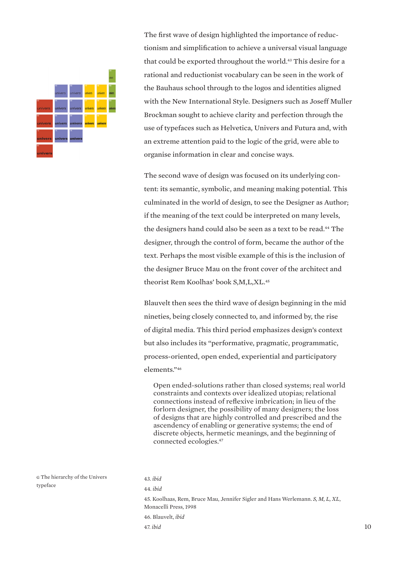

The first wave of design highlighted the importance of reductionism and simplification to achieve a universal visual language that could be exported throughout the world. <sup>43</sup> This desire for a rational and reductionist vocabulary can be seen in the work of the Bauhaus school through to the logos and identities aligned with the New International Style. Designers such as Joseff Muller Brockman sought to achieve clarity and perfection through the use of typefaces such as Helvetica, Univers and Futura and, with an extreme attention paid to the logic of the grid, were able to organise information in clear and concise ways.

The second wave of design was focused on its underlying content: its semantic, symbolic, and meaning making potential. This culminated in the world of design, to see the Designer as Author; if the meaning of the text could be interpreted on many levels, the designers hand could also be seen as a text to be read.<sup>44</sup> The designer, through the control of form, became the author of the text. Perhaps the most visible example of this is the inclusion of the designer Bruce Mau on the front cover of the architect and theorist Rem Koolhas' book S,M,L,XL.<sup>45</sup>

Blauvelt then sees the third wave of design beginning in the mid nineties, being closely connected to, and informed by, the rise of digital media. This third period emphasizes design's context but also includes its "performative, pragmatic, programmatic, process-oriented, open ended, experiential and participatory elements."<sup>46</sup>

Open ended-solutions rather than closed systems; real world constraints and contexts over idealized utopias; relational connections instead of reflexive imbrication; in lieu of the forlorn designer, the possibility of many designers; the loss of designs that are highly controlled and prescribed and the ascendency of enabling or generative systems; the end of discrete objects, hermetic meanings, and the beginning of connected ecologies.<sup>47</sup>

g The hierarchy of the Univers typeface

46. Blauvelt, *ibid*

47. *ibid*

<sup>43.</sup> *ibid*

<sup>44.</sup> *ibid*

<sup>45.</sup> Koolhaas, Rem, Bruce Mau, Jennifer Sigler and Hans Werlemann. *S, M, L, XL*, Monacelli Press, 1998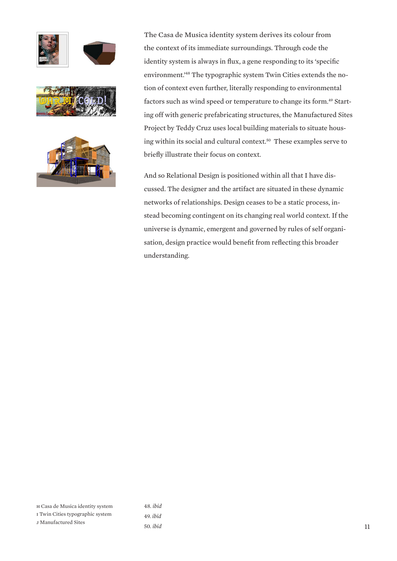





The Casa de Musica identity system derives its colour from the context of its immediate surroundings. Through code the identity system is always in flux, a gene responding to its 'specific environment.'48 The typographic system Twin Cities extends the notion of context even further, literally responding to environmental factors such as wind speed or temperature to change its form.<sup>49</sup> Starting off with generic prefabricating structures, the Manufactured Sites Project by Teddy Cruz uses local building materials to situate housing within its social and cultural context.<sup>50</sup> These examples serve to briefly illustrate their focus on context.

And so Relational Design is positioned within all that I have discussed. The designer and the artifact are situated in these dynamic networks of relationships. Design ceases to be a static process, instead becoming contingent on its changing real world context. If the universe is dynamic, emergent and governed by rules of self organisation, design practice would benefit from reflecting this broader understanding.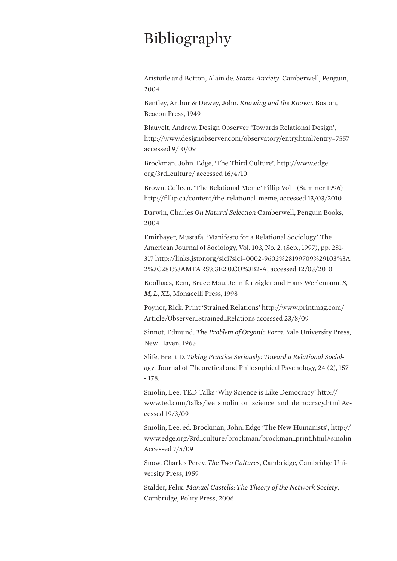## Bibliography

Aristotle and Botton, Alain de. *Status Anxiety*. Camberwell, Penguin, 2004

Bentley, Arthur & Dewey, John. *Knowing and the Known*. Boston, Beacon Press, 1949

Blauvelt, Andrew. Design Observer 'Towards Relational Design', http://www.designobserver.com/observatory/entry.html?entry=7557 accessed 9/10/09

Brockman, John. Edge, 'The Third Culture', http://www.edge. org/3rd\_culture/ accessed 16/4/10

Brown, Colleen. 'The Relational Meme' Fillip Vol 1 (Summer 1996) http://fillip.ca/content/the-relational-meme, accessed 13/03/2010

Darwin, Charles *On Natural Selection* Camberwell, Penguin Books, 2004

Emirbayer, Mustafa. 'Manifesto for a Relational Sociology' The American Journal of Sociology, Vol. 103, No. 2. (Sep., 1997), pp. 281- 317 http://links.jstor.org/sici?sici=0002-9602%28199709%29103%3A 2%3C281%3AMFARS%3E2.0.CO%3B2-A, accessed 12/03/2010

Koolhaas, Rem, Bruce Mau, Jennifer Sigler and Hans Werlemann. *S, M, L, XL*, Monacelli Press, 1998

Poynor, Rick. Print 'Strained Relations' http://www.printmag.com/ Article/Observer\_Strained\_Relations accessed 23/8/09

Sinnot, Edmund, *The Problem of Organic Form*, Yale University Press, New Haven, 1963

Slife, Brent D. *Taking Practice Seriously: Toward a Relational Sociology*. Journal of Theoretical and Philosophical Psychology, 24 (2), 157 - 178.

Smolin, Lee. TED Talks 'Why Science is Like Democracy' http:// www.ted.com/talks/lee\_smolin\_on\_science\_and\_democracy.html Accessed 19/3/09

Smolin, Lee. ed. Brockman, John. Edge 'The New Humanists', http:// www.edge.org/3rd\_culture/brockman/brockman\_print.html#smolin Accessed 7/5/09

Snow, Charles Percy. *The Two Cultures*, Cambridge, Cambridge University Press, 1959

Stalder, Felix. *Manuel Castells: The Theory of the Network Society*, Cambridge, Polity Press, 2006